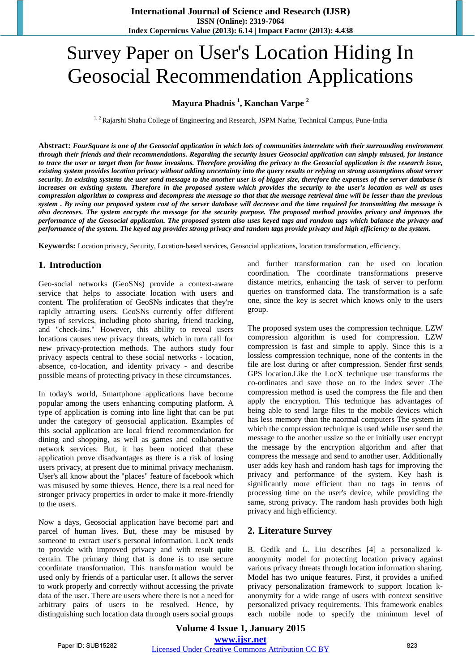# Survey Paper on User's Location Hiding In Geosocial Recommendation Applications

# **Mayura Phadnis <sup>1</sup> , Kanchan Varpe <sup>2</sup>**

<sup>1, 2</sup> Rajarshi Shahu College of Engineering and Research, JSPM Narhe, Technical Campus, Pune-India

Abstract: FourSauare is one of the Geosocial application in which lots of communities interrelate with their surrounding environment through their friends and their recommendations. Regarding the security issues Geosocial application can simply misused, for instance to trace the user or target them for home invasions. Therefore providing the privacy to the Geosocial application is the research issue, existing system provides location privacy without adding uncertainty into the query results or relying on strong assumptions about server security. In existing systems the user send message to the another user is of bigger size, therefore the expenses of the server database is increases on existing system. Therefore in the proposed system which provides the security to the user's location as well as uses compression algorithm to compress and decompress the message so that that the message retrieval time will be lesser than the previous system. By using our proposed system cost of the server database will decrease and the time required for transmitting the message is also decreases. The system encrypts the message for the security purpose. The proposed method provides privacy and improves the performance of the Geosocial application. The proposed system also uses keyed tags and random tags which balance the privacy and performance of the system. The keyed tag provides strong privacy and random tags provide privacy and high efficiency to the system.

**Keywords:** Location privacy, Security, Location-based services, Geosocial applications, location transformation, efficiency.

## **1. Introduction**

Geo-social networks (GeoSNs) provide a context-aware service that helps to associate location with users and content. The proliferation of GeoSNs indicates that they're rapidly attracting users. GeoSNs currently offer different types of services, including photo sharing, friend tracking, and "check-ins." However, this ability to reveal users locations causes new privacy threats, which in turn call for new privacy-protection methods. The authors study four privacy aspects central to these social networks - location, absence, co-location, and identity privacy - and describe possible means of protecting privacy in these circumstances.

In today's world, Smartphone applications have become popular among the users enhancing computing platform. A type of application is coming into line light that can be put under the category of geosocial application. Examples of this social application are local friend recommendation for dining and shopping, as well as games and collaborative network services. But, it has been noticed that these application prove disadvantages as there is a risk of losing users privacy, at present due to minimal privacy mechanism. User's all know about the "places" feature of facebook which was misused by some thieves. Hence, there is a real need for stronger privacy properties in order to make it more-friendly to the users.

Now a days, Geosocial application have become part and parcel of human lives. But, these may be misused by someone to extract user's personal information. LocX tends to provide with improved privacy and with result quite certain. The primary thing that is done is to use secure coordinate transformation. This transformation would be used only by friends of a particular user. It allows the server to work properly and correctly without accessing the private data of the user. There are users where there is not a need for arbitrary pairs of users to be resolved. Hence, by distinguishing such location data through users social groups and further transformation can be used on location coordination. The coordinate transformations preserve distance metrics, enhancing the task of server to perform queries on transformed data. The transformation is a safe one, since the key is secret which knows only to the users group.

The proposed system uses the compression technique. LZW compression algorithm is used for compression. LZW compression is fast and simple to apply. Since this is a lossless compression technique, none of the contents in the file are lost during or after compression. Sender first sends GPS location.Like the LocX technique use transforms the co-ordinates and save those on to the index sever .The compression method is used the compress the file and then apply the encryption. This technique has advantages of being able to send large files to the mobile devices which has less memory than the naormal computers The system in which the compression technique is used while user send the message to the another ussize so the er initially user encrypt the message by the encryption algorithm and after that compress the message and send to another user. Additionally user adds key hash and random hash tags for improving the privacy and performance of the system. Key hash is significantly more efficient than no tags in terms of processing time on the user's device, while providing the same, strong privacy. The random hash provides both high privacy and high efficiency.

## **2. Literature Survey**

B. Gedik and L. Liu describes [4] a personalized kanonymity model for protecting location privacy against various privacy threats through location information sharing. Model has two unique features. First, it provides a unified privacy personalization framework to support location kanonymity for a wide range of users with context sensitive personalized privacy requirements. This framework enables each mobile node to specify the minimum level of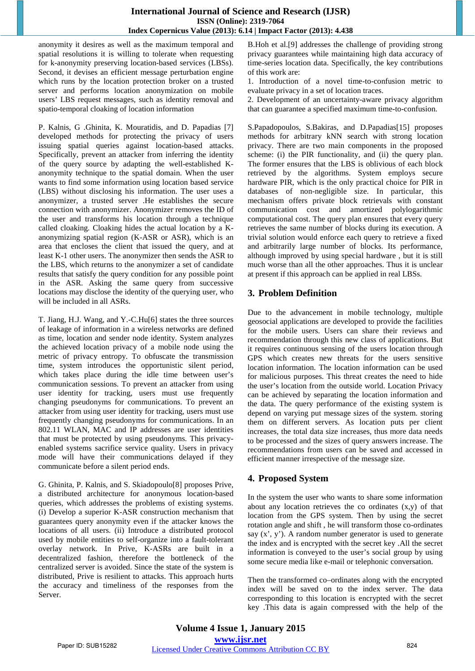### **International Journal of Science and Research (IJSR) ISSN (Online): 2319-7064 Index Copernicus Value (2013): 6.14 | Impact Factor (2013): 4.438**

anonymity it desires as well as the maximum temporal and spatial resolutions it is willing to tolerate when requesting for k-anonymity preserving location-based services (LBSs). Second, it devises an efficient message perturbation engine which runs by the location protection broker on a trusted server and performs location anonymization on mobile users' LBS request messages, such as identity removal and spatio-temporal cloaking of location information

P. Kalnis, G .Ghinita, K. Mouratidis, and D. Papadias [7] developed methods for protecting the privacy of users issuing spatial queries against location-based attacks. Specifically, prevent an attacker from inferring the identity of the query source by adapting the well-established Kanonymity technique to the spatial domain. When the user wants to find some information using location based service (LBS) without disclosing his information. The user uses a anonymizer, a trusted server .He establishes the secure connection with anonymizer. Anonymizer removes the ID of the user and transforms his location through a technique called cloaking. Cloaking hides the actual location by a Kanonymizing spatial region (K-ASR or ASR), which is an area that encloses the client that issued the query, and at least K-1 other users. The anonymizer then sends the ASR to the LBS, which returns to the anonymizer a set of candidate results that satisfy the query condition for any possible point in the ASR. Asking the same query from successive locations may disclose the identity of the querying user, who will be included in all ASRs.

T. Jiang, H.J. Wang, and Y.-C.Hu[6] states the three sources of leakage of information in a wireless networks are defined as time, location and sender node identity. System analyzes the achieved location privacy of a mobile node using the metric of privacy entropy. To obfuscate the transmission time, system introduces the opportunistic silent period, which takes place during the idle time between user's communication sessions. To prevent an attacker from using user identity for tracking, users must use frequently changing pseudonyms for communications. To prevent an attacker from using user identity for tracking, users must use frequently changing pseudonyms for communications. In an 802.11 WLAN, MAC and IP addresses are user identities that must be protected by using pseudonyms. This privacyenabled systems sacrifice service quality. Users in privacy mode will have their communications delayed if they communicate before a silent period ends.

G. Ghinita, P. Kalnis, and S. Skiadopoulo[8] proposes Prive, a distributed architecture for anonymous location-based queries, which addresses the problems of existing systems. (i) Develop a superior K-ASR construction mechanism that guarantees query anonymity even if the attacker knows the locations of all users. (ii) Introduce a distributed protocol used by mobile entities to self-organize into a fault-tolerant overlay network. In Prive, K-ASRs are built in a decentralized fashion, therefore the bottleneck of the centralized server is avoided. Since the state of the system is distributed, Prive is resilient to attacks. This approach hurts the accuracy and timeliness of the responses from the Server.

B.Hoh et al.[9] addresses the challenge of providing strong privacy guarantees while maintaining high data accuracy of time-series location data. Specifically, the key contributions of this work are:

1. Introduction of a novel time-to-confusion metric to evaluate privacy in a set of location traces.

2. Development of an uncertainty-aware privacy algorithm that can guarantee a specified maximum time-to-confusion.

S.Papadopoulos, S.Bakiras, and D.Papadias[15] proposes methods for arbitrary kNN search with strong location privacy. There are two main components in the proposed scheme: (i) the PIR functionality, and (ii) the query plan. The former ensures that the LBS is oblivious of each block retrieved by the algorithms. System employs secure hardware PIR, which is the only practical choice for PIR in databases of non-negligible size. In particular, this mechanism offers private block retrievals with constant communication cost and amortized polylogarithmic computational cost. The query plan ensures that every query retrieves the same number of blocks during its execution. A trivial solution would enforce each query to retrieve a fixed and arbitrarily large number of blocks. Its performance, although improved by using special hardware , but it is still much worse than all the other approaches. Thus it is unclear at present if this approach can be applied in real LBSs.

# **3. Problem Definition**

Due to the advancement in mobile technology, multiple geosocial applications are developed to provide the facilities for the mobile users. Users can share their reviews and recommendation through this new class of applications. But it requires continuous sensing of the users location through GPS which creates new threats for the users sensitive location information. The location information can be used for malicious purposes. This threat creates the need to hide the user's location from the outside world. Location Privacy can be achieved by separating the location information and the data. The query performance of the existing system is depend on varying put message sizes of the system. storing them on different servers. As location puts per client increases, the total data size increases, thus more data needs to be processed and the sizes of query answers increase. The recommendations from users can be saved and accessed in efficient manner irrespective of the message size.

# **4. Proposed System**

In the system the user who wants to share some information about any location retrieves the co ordinates (x,y) of that location from the GPS system. Then by using the secret rotation angle and shift , he will transform those co-ordinates say  $(x', y')$ . A random number generator is used to generate the index and is encrypted with the secret key .All the secret information is conveyed to the user's social group by using some secure media like e-mail or telephonic conversation.

Then the transformed co–ordinates along with the encrypted index will be saved on to the index server. The data corresponding to this location is encrypted with the secret key .This data is again compressed with the help of the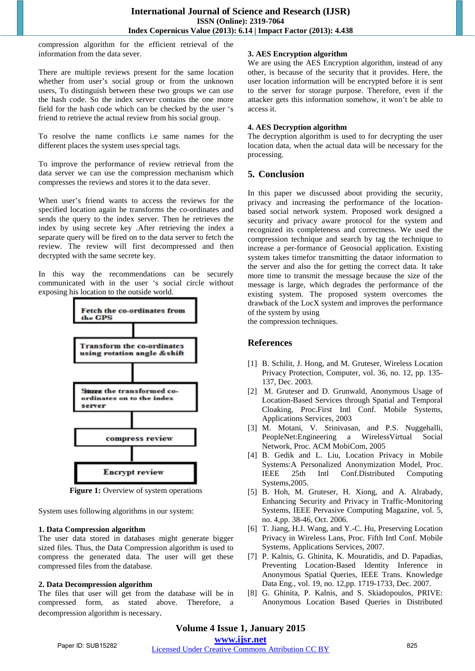compression algorithm for the efficient retrieval of the information from the data sever.

There are multiple reviews present for the same location whether from user's social group or from the unknown users, To distinguish between these two groups we can use the hash code. So the index server contains the one more field for the hash code which can be checked by the user 's friend to retrieve the actual review from his social group.

To resolve the name conflicts i.e same names for the different places the system uses special tags.

To improve the performance of review retrieval from the data server we can use the compression mechanism which compresses the reviews and stores it to the data sever.

When user's friend wants to access the reviews for the specified location again he transforms the co-ordinates and sends the query to the index server. Then he retrieves the index by using secrete key .After retrieving the index a separate query will be fired on to the data server to fetch the review. The review will first decompressed and then decrypted with the same secrete key.

In this way the recommendations can be securely communicated with in the user 's social circle without exposing his location to the outside world.



**Figure 1:** Overview of system operations

System uses following algorithms in our system:

#### **1. Data Compression algorithm**

The user data stored in databases might generate bigger sized files. Thus, the Data Compression algorithm is used to compress the generated data. The user will get these compressed files from the database.

#### **2. Data Decompression algorithm**

The files that user will get from the database will be in compressed form, as stated above. Therefore, a decompression algorithm is necessary.

#### **3. AES Encryption algorithm**

We are using the AES Encryption algorithm, instead of any other, is because of the security that it provides. Here, the user location information will be encrypted before it is sent to the server for storage purpose. Therefore, even if the attacker gets this information somehow, it won't be able to access it.

#### **4. AES Decryption algorithm**

The decryption algorithm is used to for decrypting the user location data, when the actual data will be necessary for the processing.

# **5. Conclusion**

In this paper we discussed about providing the security, privacy and increasing the performance of the locationbased social network system. Proposed work designed a security and privacy aware protocol for the system and recognized its completeness and correctness. We used the compression technique and search by tag the technique to increase a per-formance of Geosocial application. Existing system takes timefor transmitting the dataor information to the server and also the for getting the correct data. It take more time to transmit the message because the size of the message is large, which degrades the performance of the existing system. The proposed system overcomes the drawback of the LocX system and improves the performance of the system by using

the compression techniques.

## **References**

- [1] B. Schilit, J. Hong, and M. Gruteser, Wireless Location Privacy Protection, Computer, vol. 36, no. 12, pp. 135- 137, Dec. 2003.
- [2] M. Gruteser and D. Grunwald, Anonymous Usage of Location-Based Services through Spatial and Temporal Cloaking, Proc.First Intl Conf. Mobile Systems, Applications Services, 2003
- [3] M. Motani, V. Srinivasan, and P.S. Nuggehalli, PeopleNet:Engineering a WirelessVirtual Social Network, Proc. ACM MobiCom, 2005
- [4] B. Gedik and L. Liu, Location Privacy in Mobile Systems:A Personalized Anonymization Model, Proc. IEEE 25th Intl Conf.Distributed Computing Systems,2005.
- [5] B. Hoh, M. Gruteser, H. Xiong, and A. Alrabady, Enhancing Security and Privacy in Traffic-Monitoring Systems, IEEE Pervasive Computing Magazine, vol. 5, no. 4,pp. 38-46, Oct. 2006.
- [6] T. Jiang, H.J. Wang, and Y.-C. Hu, Preserving Location Privacy in Wireless Lans, Proc. Fifth Intl Conf. Mobile Systems, Applications Services, 2007.
- [7] P. Kalnis, G. Ghinita, K. Mouratidis, and D. Papadias, Preventing Location-Based Identity Inference in Anonymous Spatial Queries, IEEE Trans. Knowledge Data Eng., vol. 19, no. 12,pp. 1719-1733, Dec. 2007.
- [8] G. Ghinita, P. Kalnis, and S. Skiadopoulos, PRIVE: Anonymous Location Based Queries in Distributed